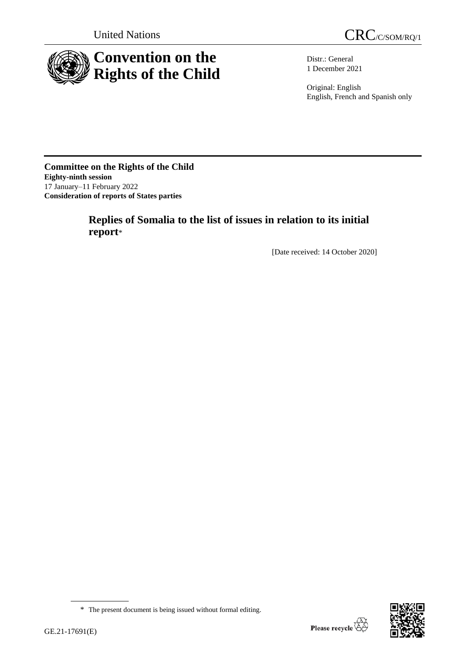



Distr.: General 1 December 2021

Original: English English, French and Spanish only

**Committee on the Rights of the Child Eighty-ninth session** 17 January–11 February 2022 **Consideration of reports of States parties**

# **Replies of Somalia to the list of issues in relation to its initial report**\*

[Date received: 14 October 2020]



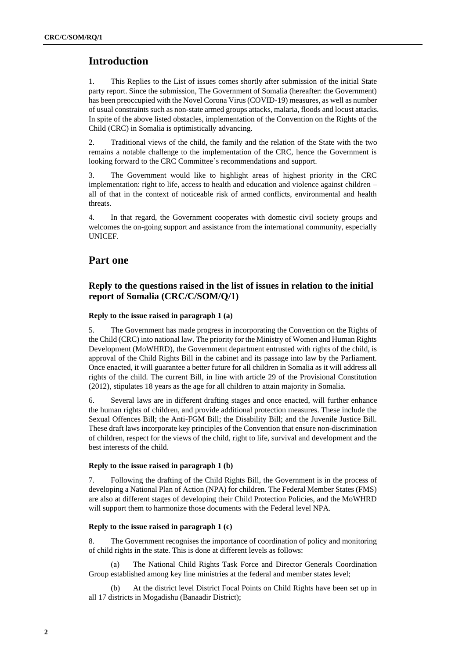# **Introduction**

1. This Replies to the List of issues comes shortly after submission of the initial State party report. Since the submission, The Government of Somalia (hereafter: the Government) has been preoccupied with the Novel Corona Virus (COVID-19) measures, as well as number of usual constraints such as non-state armed groups attacks, malaria, floods and locust attacks. In spite of the above listed obstacles, implementation of the Convention on the Rights of the Child (CRC) in Somalia is optimistically advancing.

2. Traditional views of the child, the family and the relation of the State with the two remains a notable challenge to the implementation of the CRC, hence the Government is looking forward to the CRC Committee's recommendations and support.

3. The Government would like to highlight areas of highest priority in the CRC implementation: right to life, access to health and education and violence against children – all of that in the context of noticeable risk of armed conflicts, environmental and health threats.

4. In that regard, the Government cooperates with domestic civil society groups and welcomes the on-going support and assistance from the international community, especially UNICEF.

# **Part one**

# **Reply to the questions raised in the list of issues in relation to the initial report of Somalia (CRC/C/SOM/Q/1)**

# **Reply to the issue raised in paragraph 1 (a)**

5. The Government has made progress in incorporating the Convention on the Rights of the Child (CRC) into national law. The priority for the Ministry of Women and Human Rights Development (MoWHRD), the Government department entrusted with rights of the child, is approval of the Child Rights Bill in the cabinet and its passage into law by the Parliament. Once enacted, it will guarantee a better future for all children in Somalia as it will address all rights of the child. The current Bill, in line with article 29 of the Provisional Constitution (2012), stipulates 18 years as the age for all children to attain majority in Somalia.

6. Several laws are in different drafting stages and once enacted, will further enhance the human rights of children, and provide additional protection measures. These include the Sexual Offences Bill; the Anti-FGM Bill; the Disability Bill; and the Juvenile Justice Bill. These draft laws incorporate key principles of the Convention that ensure non-discrimination of children, respect for the views of the child, right to life, survival and development and the best interests of the child.

## **Reply to the issue raised in paragraph 1 (b)**

7. Following the drafting of the Child Rights Bill, the Government is in the process of developing a National Plan of Action (NPA) for children. The Federal Member States (FMS) are also at different stages of developing their Child Protection Policies, and the MoWHRD will support them to harmonize those documents with the Federal level NPA.

## **Reply to the issue raised in paragraph 1 (c)**

8. The Government recognises the importance of coordination of policy and monitoring of child rights in the state. This is done at different levels as follows:

(a) The National Child Rights Task Force and Director Generals Coordination Group established among key line ministries at the federal and member states level;

(b) At the district level District Focal Points on Child Rights have been set up in all 17 districts in Mogadishu (Banaadir District);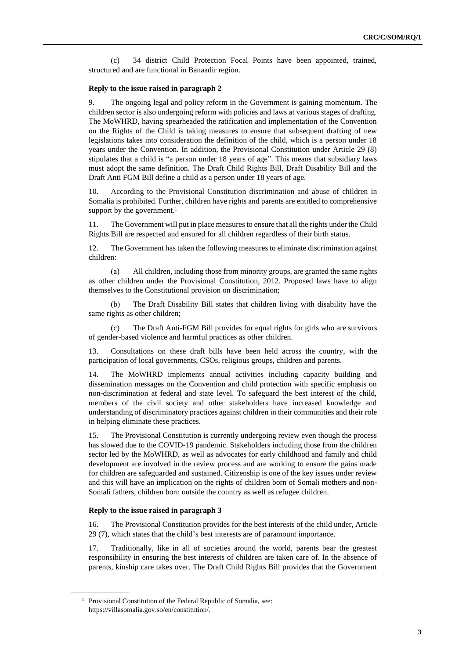(c) 34 district Child Protection Focal Points have been appointed, trained, structured and are functional in Banaadir region.

#### **Reply to the issue raised in paragraph 2**

9. The ongoing legal and policy reform in the Government is gaining momentum. The children sector is also undergoing reform with policies and laws at various stages of drafting. The MoWHRD, having spearheaded the ratification and implementation of the Convention on the Rights of the Child is taking measures to ensure that subsequent drafting of new legislations takes into consideration the definition of the child, which is a person under 18 years under the Convention. In addition, the Provisional Constitution under Article 29 (8) stipulates that a child is "a person under 18 years of age". This means that subsidiary laws must adopt the same definition. The Draft Child Rights Bill, Draft Disability Bill and the Draft Anti FGM Bill define a child as a person under 18 years of age.

10. According to the Provisional Constitution discrimination and abuse of children in Somalia is prohibited. Further, children have rights and parents are entitled to comprehensive support by the government.<sup>1</sup>

11. The Government will put in place measures to ensure that all the rights under the Child Rights Bill are respected and ensured for all children regardless of their birth status.

12. The Government has taken the following measures to eliminate discrimination against children:

(a) All children, including those from minority groups, are granted the same rights as other children under the Provisional Constitution, 2012. Proposed laws have to align themselves to the Constitutional provision on discrimination;

The Draft Disability Bill states that children living with disability have the same rights as other children;

(c) The Draft Anti-FGM Bill provides for equal rights for girls who are survivors of gender-based violence and harmful practices as other children.

13. Consultations on these draft bills have been held across the country, with the participation of local governments, CSOs, religious groups, children and parents.

14. The MoWHRD implements annual activities including capacity building and dissemination messages on the Convention and child protection with specific emphasis on non-discrimination at federal and state level. To safeguard the best interest of the child, members of the civil society and other stakeholders have increased knowledge and understanding of discriminatory practices against children in their communities and their role in helping eliminate these practices.

15. The Provisional Constitution is currently undergoing review even though the process has slowed due to the COVID-19 pandemic. Stakeholders including those from the children sector led by the MoWHRD, as well as advocates for early childhood and family and child development are involved in the review process and are working to ensure the gains made for children are safeguarded and sustained. Citizenship is one of the key issues under review and this will have an implication on the rights of children born of Somali mothers and non-Somali fathers, children born outside the country as well as refugee children.

## **Reply to the issue raised in paragraph 3**

16. The Provisional Constitution provides for the best interests of the child under, Article 29 (7), which states that the child's best interests are of paramount importance.

17. Traditionally, like in all of societies around the world, parents bear the greatest responsibility in ensuring the best interests of children are taken care of. In the absence of parents, kinship care takes over. The Draft Child Rights Bill provides that the Government

<sup>&</sup>lt;sup>1</sup> Provisional Constitution of the Federal Republic of Somalia, see: https://villasomalia.gov.so/en/constitution/.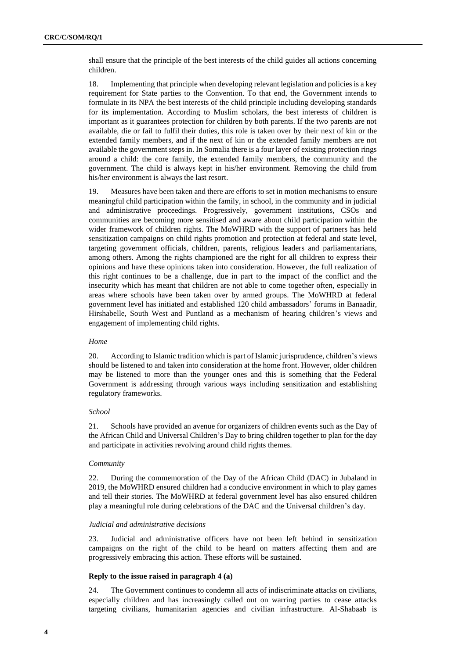shall ensure that the principle of the best interests of the child guides all actions concerning children.

18. Implementing that principle when developing relevant legislation and policies is a key requirement for State parties to the Convention. To that end, the Government intends to formulate in its NPA the best interests of the child principle including developing standards for its implementation. According to Muslim scholars, the best interests of children is important as it guarantees protection for children by both parents. If the two parents are not available, die or fail to fulfil their duties, this role is taken over by their next of kin or the extended family members, and if the next of kin or the extended family members are not available the government steps in. In Somalia there is a four layer of existing protection rings around a child: the core family, the extended family members, the community and the government. The child is always kept in his/her environment. Removing the child from his/her environment is always the last resort.

19. Measures have been taken and there are efforts to set in motion mechanisms to ensure meaningful child participation within the family, in school, in the community and in judicial and administrative proceedings. Progressively, government institutions, CSOs and communities are becoming more sensitised and aware about child participation within the wider framework of children rights. The MoWHRD with the support of partners has held sensitization campaigns on child rights promotion and protection at federal and state level, targeting government officials, children, parents, religious leaders and parliamentarians, among others. Among the rights championed are the right for all children to express their opinions and have these opinions taken into consideration. However, the full realization of this right continues to be a challenge, due in part to the impact of the conflict and the insecurity which has meant that children are not able to come together often, especially in areas where schools have been taken over by armed groups. The MoWHRD at federal government level has initiated and established 120 child ambassadors' forums in Banaadir, Hirshabelle, South West and Puntland as a mechanism of hearing children's views and engagement of implementing child rights.

## *Home*

20. According to Islamic tradition which is part of Islamic jurisprudence, children's views should be listened to and taken into consideration at the home front. However, older children may be listened to more than the younger ones and this is something that the Federal Government is addressing through various ways including sensitization and establishing regulatory frameworks.

#### *School*

21. Schools have provided an avenue for organizers of children events such as the Day of the African Child and Universal Children's Day to bring children together to plan for the day and participate in activities revolving around child rights themes.

#### *Community*

22. During the commemoration of the Day of the African Child (DAC) in Jubaland in 2019, the MoWHRD ensured children had a conducive environment in which to play games and tell their stories. The MoWHRD at federal government level has also ensured children play a meaningful role during celebrations of the DAC and the Universal children's day.

## *Judicial and administrative decisions*

23. Judicial and administrative officers have not been left behind in sensitization campaigns on the right of the child to be heard on matters affecting them and are progressively embracing this action. These efforts will be sustained.

### **Reply to the issue raised in paragraph 4 (a)**

24. The Government continues to condemn all acts of indiscriminate attacks on civilians, especially children and has increasingly called out on warring parties to cease attacks targeting civilians, humanitarian agencies and civilian infrastructure. Al-Shabaab is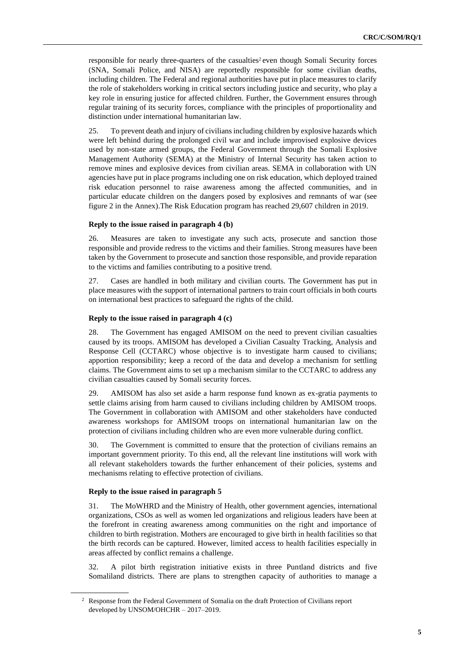responsible for nearly three-quarters of the casualties<sup>2</sup> even though Somali Security forces (SNA, Somali Police, and NISA) are reportedly responsible for some civilian deaths, including children. The Federal and regional authorities have put in place measures to clarify the role of stakeholders working in critical sectors including justice and security, who play a key role in ensuring justice for affected children. Further, the Government ensures through regular training of its security forces, compliance with the principles of proportionality and distinction under international humanitarian law.

25. To prevent death and injury of civilians including children by explosive hazards which were left behind during the prolonged civil war and include improvised explosive devices used by non-state armed groups, the Federal Government through the Somali Explosive Management Authority (SEMA) at the Ministry of Internal Security has taken action to remove mines and explosive devices from civilian areas. SEMA in collaboration with UN agencies have put in place programs including one on risk education, which deployed trained risk education personnel to raise awareness among the affected communities, and in particular educate children on the dangers posed by explosives and remnants of war (see figure 2 in the Annex).The Risk Education program has reached 29,607 children in 2019.

### **Reply to the issue raised in paragraph 4 (b)**

26. Measures are taken to investigate any such acts, prosecute and sanction those responsible and provide redress to the victims and their families. Strong measures have been taken by the Government to prosecute and sanction those responsible, and provide reparation to the victims and families contributing to a positive trend.

27. Cases are handled in both military and civilian courts. The Government has put in place measures with the support of international partners to train court officials in both courts on international best practices to safeguard the rights of the child.

## **Reply to the issue raised in paragraph 4 (c)**

28. The Government has engaged AMISOM on the need to prevent civilian casualties caused by its troops. AMISOM has developed a Civilian Casualty Tracking, Analysis and Response Cell (CCTARC) whose objective is to investigate harm caused to civilians; apportion responsibility; keep a record of the data and develop a mechanism for settling claims. The Government aims to set up a mechanism similar to the CCTARC to address any civilian casualties caused by Somali security forces.

29. AMISOM has also set aside a harm response fund known as ex-gratia payments to settle claims arising from harm caused to civilians including children by AMISOM troops. The Government in collaboration with AMISOM and other stakeholders have conducted awareness workshops for AMISOM troops on international humanitarian law on the protection of civilians including children who are even more vulnerable during conflict.

30. The Government is committed to ensure that the protection of civilians remains an important government priority. To this end, all the relevant line institutions will work with all relevant stakeholders towards the further enhancement of their policies, systems and mechanisms relating to effective protection of civilians.

#### **Reply to the issue raised in paragraph 5**

31. The MoWHRD and the Ministry of Health, other government agencies, international organizations, CSOs as well as women led organizations and religious leaders have been at the forefront in creating awareness among communities on the right and importance of children to birth registration. Mothers are encouraged to give birth in health facilities so that the birth records can be captured. However, limited access to health facilities especially in areas affected by conflict remains a challenge.

32. A pilot birth registration initiative exists in three Puntland districts and five Somaliland districts. There are plans to strengthen capacity of authorities to manage a

<sup>&</sup>lt;sup>2</sup> Response from the Federal Government of Somalia on the draft Protection of Civilians report developed by UNSOM/OHCHR – 2017–2019.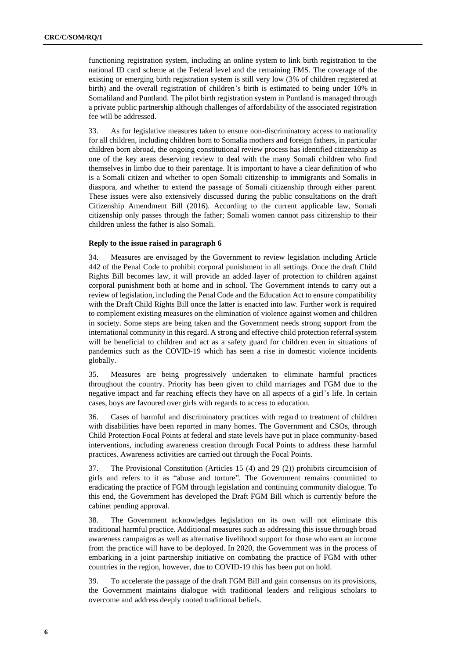functioning registration system, including an online system to link birth registration to the national ID card scheme at the Federal level and the remaining FMS. The coverage of the existing or emerging birth registration system is still very low (3% of children registered at birth) and the overall registration of children's birth is estimated to being under 10% in Somaliland and Puntland. The pilot birth registration system in Puntland is managed through a private public partnership although challenges of affordability of the associated registration fee will be addressed.

33. As for legislative measures taken to ensure non-discriminatory access to nationality for all children, including children born to Somalia mothers and foreign fathers, in particular children born abroad, the ongoing constitutional review process has identified citizenship as one of the key areas deserving review to deal with the many Somali children who find themselves in limbo due to their parentage. It is important to have a clear definition of who is a Somali citizen and whether to open Somali citizenship to immigrants and Somalis in diaspora, and whether to extend the passage of Somali citizenship through either parent. These issues were also extensively discussed during the public consultations on the draft Citizenship Amendment Bill (2016). According to the current applicable law, Somali citizenship only passes through the father; Somali women cannot pass citizenship to their children unless the father is also Somali.

## **Reply to the issue raised in paragraph 6**

34. Measures are envisaged by the Government to review legislation including Article 442 of the Penal Code to prohibit corporal punishment in all settings. Once the draft Child Rights Bill becomes law, it will provide an added layer of protection to children against corporal punishment both at home and in school. The Government intends to carry out a review of legislation, including the Penal Code and the Education Act to ensure compatibility with the Draft Child Rights Bill once the latter is enacted into law. Further work is required to complement existing measures on the elimination of violence against women and children in society. Some steps are being taken and the Government needs strong support from the international community in this regard. A strong and effective child protection referral system will be beneficial to children and act as a safety guard for children even in situations of pandemics such as the COVID-19 which has seen a rise in domestic violence incidents globally.

35. Measures are being progressively undertaken to eliminate harmful practices throughout the country. Priority has been given to child marriages and FGM due to the negative impact and far reaching effects they have on all aspects of a girl's life. In certain cases, boys are favoured over girls with regards to access to education.

36. Cases of harmful and discriminatory practices with regard to treatment of children with disabilities have been reported in many homes. The Government and CSOs, through Child Protection Focal Points at federal and state levels have put in place community-based interventions, including awareness creation through Focal Points to address these harmful practices. Awareness activities are carried out through the Focal Points.

37. The Provisional Constitution (Articles 15 (4) and 29 (2)) prohibits circumcision of girls and refers to it as "abuse and torture". The Government remains committed to eradicating the practice of FGM through legislation and continuing community dialogue. To this end, the Government has developed the Draft FGM Bill which is currently before the cabinet pending approval.

38. The Government acknowledges legislation on its own will not eliminate this traditional harmful practice. Additional measures such as addressing this issue through broad awareness campaigns as well as alternative livelihood support for those who earn an income from the practice will have to be deployed. In 2020, the Government was in the process of embarking in a joint partnership initiative on combating the practice of FGM with other countries in the region, however, due to COVID-19 this has been put on hold.

39. To accelerate the passage of the draft FGM Bill and gain consensus on its provisions, the Government maintains dialogue with traditional leaders and religious scholars to overcome and address deeply rooted traditional beliefs.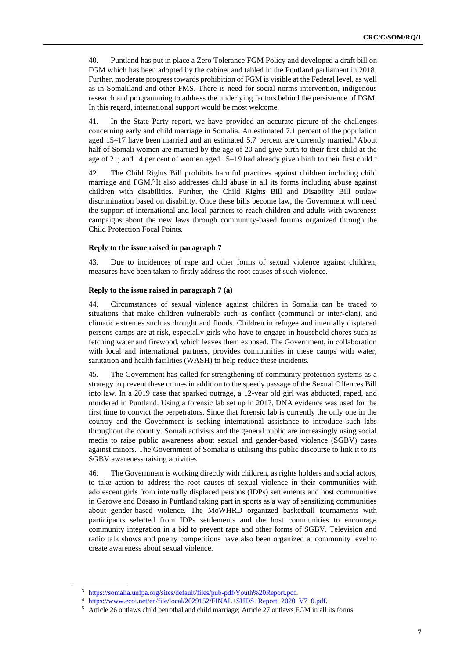40. Puntland has put in place a Zero Tolerance FGM Policy and developed a draft bill on FGM which has been adopted by the cabinet and tabled in the Puntland parliament in 2018. Further, moderate progress towards prohibition of FGM is visible at the Federal level, as well as in Somaliland and other FMS. There is need for social norms intervention, indigenous research and programming to address the underlying factors behind the persistence of FGM. In this regard, international support would be most welcome.

41. In the State Party report, we have provided an accurate picture of the challenges concerning early and child marriage in Somalia. An estimated 7.1 percent of the population aged 15–17 have been married and an estimated 5.7 percent are currently married.<sup>3</sup> About half of Somali women are married by the age of 20 and give birth to their first child at the age of 21; and 14 per cent of women aged 15–19 had already given birth to their first child.<sup>4</sup>

42. The Child Rights Bill prohibits harmful practices against children including child marriage and FGM.<sup>5</sup> It also addresses child abuse in all its forms including abuse against children with disabilities. Further, the Child Rights Bill and Disability Bill outlaw discrimination based on disability. Once these bills become law, the Government will need the support of international and local partners to reach children and adults with awareness campaigns about the new laws through community-based forums organized through the Child Protection Focal Points.

## **Reply to the issue raised in paragraph 7**

43. Due to incidences of rape and other forms of sexual violence against children, measures have been taken to firstly address the root causes of such violence.

#### **Reply to the issue raised in paragraph 7 (a)**

44. Circumstances of sexual violence against children in Somalia can be traced to situations that make children vulnerable such as conflict (communal or inter-clan), and climatic extremes such as drought and floods. Children in refugee and internally displaced persons camps are at risk, especially girls who have to engage in household chores such as fetching water and firewood, which leaves them exposed. The Government, in collaboration with local and international partners, provides communities in these camps with water, sanitation and health facilities (WASH) to help reduce these incidents.

45. The Government has called for strengthening of community protection systems as a strategy to prevent these crimes in addition to the speedy passage of the Sexual Offences Bill into law. In a 2019 case that sparked outrage, a 12-year old girl was abducted, raped, and murdered in Puntland. Using a forensic lab set up in 2017, DNA evidence was used for the first time to convict the perpetrators. Since that forensic lab is currently the only one in the country and the Government is seeking international assistance to introduce such labs throughout the country. Somali activists and the general public are increasingly using social media to raise public awareness about sexual and gender-based violence (SGBV) cases against minors. The Government of Somalia is utilising this public discourse to link it to its SGBV awareness raising activities

46. The Government is working directly with children, as rights holders and social actors, to take action to address the root causes of sexual violence in their communities with adolescent girls from internally displaced persons (IDPs) settlements and host communities in Garowe and Bosaso in Puntland taking part in sports as a way of sensitizing communities about gender-based violence. The MoWHRD organized basketball tournaments with participants selected from IDPs settlements and the host communities to encourage community integration in a bid to prevent rape and other forms of SGBV. Television and radio talk shows and poetry competitions have also been organized at community level to create awareness about sexual violence.

<sup>3</sup> [https://somalia.unfpa.org/sites/default/files/pub-pdf/Youth%20Report.pdf.](https://somalia.unfpa.org/sites/default/files/pub-pdf/Youth%20Report.pdf)

<sup>4</sup> [https://www.ecoi.net/en/file/local/2029152/FINAL+SHDS+Report+2020\\_V7\\_0.pdf.](https://www.ecoi.net/en/file/local/2029152/FINAL+SHDS+Report+2020_V7_0.pdf)

<sup>5</sup> Article 26 outlaws child betrothal and child marriage; Article 27 outlaws FGM in all its forms.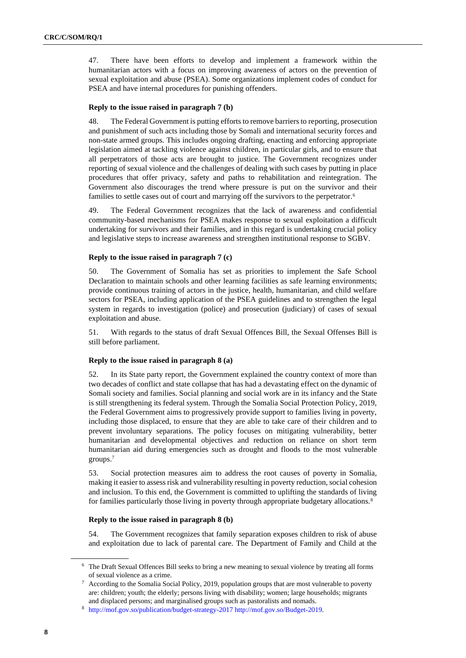47. There have been efforts to develop and implement a framework within the humanitarian actors with a focus on improving awareness of actors on the prevention of sexual exploitation and abuse (PSEA). Some organizations implement codes of conduct for PSEA and have internal procedures for punishing offenders.

## **Reply to the issue raised in paragraph 7 (b)**

48. The Federal Government is putting efforts to remove barriers to reporting, prosecution and punishment of such acts including those by Somali and international security forces and non-state armed groups. This includes ongoing drafting, enacting and enforcing appropriate legislation aimed at tackling violence against children, in particular girls, and to ensure that all perpetrators of those acts are brought to justice. The Government recognizes under reporting of sexual violence and the challenges of dealing with such cases by putting in place procedures that offer privacy, safety and paths to rehabilitation and reintegration. The Government also discourages the trend where pressure is put on the survivor and their families to settle cases out of court and marrying off the survivors to the perpetrator.<sup>6</sup>

49. The Federal Government recognizes that the lack of awareness and confidential community-based mechanisms for PSEA makes response to sexual exploitation a difficult undertaking for survivors and their families, and in this regard is undertaking crucial policy and legislative steps to increase awareness and strengthen institutional response to SGBV.

## **Reply to the issue raised in paragraph 7 (c)**

50. The Government of Somalia has set as priorities to implement the Safe School Declaration to maintain schools and other learning facilities as safe learning environments; provide continuous training of actors in the justice, health, humanitarian, and child welfare sectors for PSEA, including application of the PSEA guidelines and to strengthen the legal system in regards to investigation (police) and prosecution (judiciary) of cases of sexual exploitation and abuse.

51. With regards to the status of draft Sexual Offences Bill, the Sexual Offenses Bill is still before parliament.

## **Reply to the issue raised in paragraph 8 (a)**

52. In its State party report, the Government explained the country context of more than two decades of conflict and state collapse that has had a devastating effect on the dynamic of Somali society and families. Social planning and social work are in its infancy and the State is still strengthening its federal system. Through the Somalia Social Protection Policy, 2019, the Federal Government aims to progressively provide support to families living in poverty, including those displaced, to ensure that they are able to take care of their children and to prevent involuntary separations. The policy focuses on mitigating vulnerability, better humanitarian and developmental objectives and reduction on reliance on short term humanitarian aid during emergencies such as drought and floods to the most vulnerable groups.<sup>7</sup>

53. Social protection measures aim to address the root causes of poverty in Somalia, making it easier to assess risk and vulnerability resulting in poverty reduction, social cohesion and inclusion. To this end, the Government is committed to uplifting the standards of living for families particularly those living in poverty through appropriate budgetary allocations.<sup>8</sup>

# **Reply to the issue raised in paragraph 8 (b)**

54. The Government recognizes that family separation exposes children to risk of abuse and exploitation due to lack of parental care. The Department of Family and Child at the

<sup>6</sup> The Draft Sexual Offences Bill seeks to bring a new meaning to sexual violence by treating all forms of sexual violence as a crime.

<sup>7</sup> According to the Somalia Social Policy, 2019, population groups that are most vulnerable to poverty are: children; youth; the elderly; persons living with disability; women; large households; migrants and displaced persons; and marginalised groups such as pastoralists and nomads.

<sup>8</sup> <http://mof.gov.so/publication/budget-strategy-2017> [http://mof.gov.so/Budget-2019.](http://mof.gov.so/Budget-2019)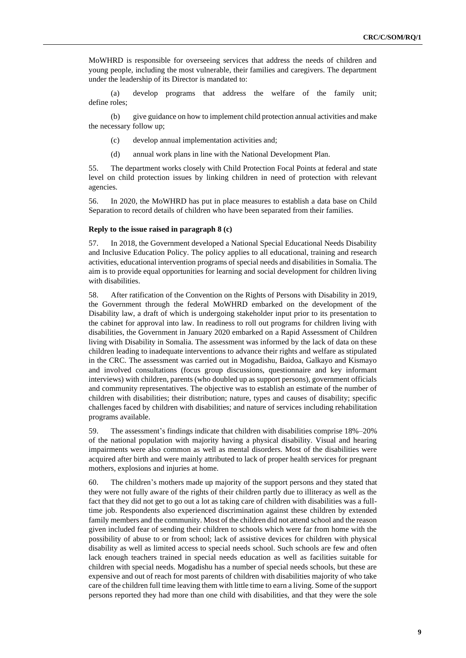MoWHRD is responsible for overseeing services that address the needs of children and young people, including the most vulnerable, their families and caregivers. The department under the leadership of its Director is mandated to:

(a) develop programs that address the welfare of the family unit; define roles;

(b) give guidance on how to implement child protection annual activities and make the necessary follow up;

- (c) develop annual implementation activities and;
- (d) annual work plans in line with the National Development Plan.

55. The department works closely with Child Protection Focal Points at federal and state level on child protection issues by linking children in need of protection with relevant agencies.

56. In 2020, the MoWHRD has put in place measures to establish a data base on Child Separation to record details of children who have been separated from their families.

### **Reply to the issue raised in paragraph 8 (c)**

57. In 2018, the Government developed a National Special Educational Needs Disability and Inclusive Education Policy. The policy applies to all educational, training and research activities, educational intervention programs of special needs and disabilities in Somalia. The aim is to provide equal opportunities for learning and social development for children living with disabilities.

58. After ratification of the Convention on the Rights of Persons with Disability in 2019, the Government through the federal MoWHRD embarked on the development of the Disability law, a draft of which is undergoing stakeholder input prior to its presentation to the cabinet for approval into law. In readiness to roll out programs for children living with disabilities, the Government in January 2020 embarked on [a Rapid Assessment of Children](https://mwhrd.gov.so/en/wp-content/uploads/2020/09/Rapid-Assessment-Children-with-Disabilites-in-Somalia_Report_FA_Digital-1-1.pdf)  [living with Disability in Somalia.](https://mwhrd.gov.so/en/wp-content/uploads/2020/09/Rapid-Assessment-Children-with-Disabilites-in-Somalia_Report_FA_Digital-1-1.pdf) The assessment was informed by the lack of data on these children leading to inadequate interventions to advance their rights and welfare as stipulated in the CRC. The assessment was carried out in Mogadishu, Baidoa, Galkayo and Kismayo and involved consultations (focus group discussions, questionnaire and key informant interviews) with children, parents (who doubled up as support persons), government officials and community representatives. The objective was to establish an estimate of the number of children with disabilities; their distribution; nature, types and causes of disability; specific challenges faced by children with disabilities; and nature of services including rehabilitation programs available.

59. The assessment's findings indicate that children with disabilities comprise 18%–20% of the national population with majority having a physical disability. Visual and hearing impairments were also common as well as mental disorders. Most of the disabilities were acquired after birth and were mainly attributed to lack of proper health services for pregnant mothers, explosions and injuries at home.

60. The children's mothers made up majority of the support persons and they stated that they were not fully aware of the rights of their children partly due to illiteracy as well as the fact that they did not get to go out a lot as taking care of children with disabilities was a fulltime job. Respondents also experienced discrimination against these children by extended family members and the community. Most of the children did not attend school and the reason given included fear of sending their children to schools which were far from home with the possibility of abuse to or from school; lack of assistive devices for children with physical disability as well as limited access to special needs school. Such schools are few and often lack enough teachers trained in special needs education as well as facilities suitable for children with special needs. Mogadishu has a number of special needs schools, but these are expensive and out of reach for most parents of children with disabilities majority of who take care of the children full time leaving them with little time to earn a living. Some of the support persons reported they had more than one child with disabilities, and that they were the sole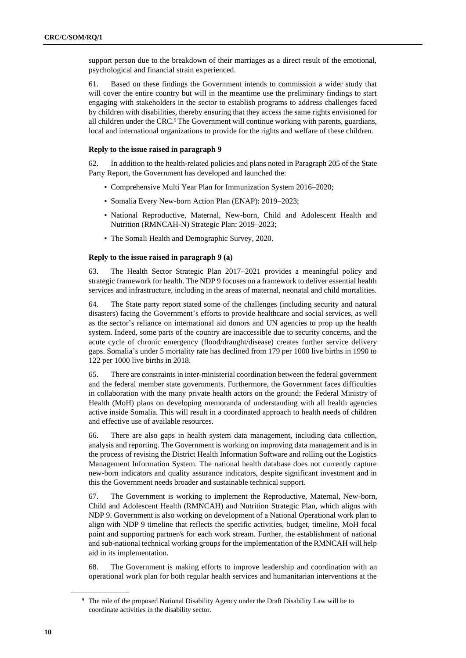support person due to the breakdown of their marriages as a direct result of the emotional, psychological and financial strain experienced.

61. Based on these findings the Government intends to commission a wider study that will cover the entire country but will in the meantime use the preliminary findings to start engaging with stakeholders in the sector to establish programs to address challenges faced by children with disabilities, thereby ensuring that they access the same rights envisioned for all children under the CRC.<sup>9</sup> The Government will continue working with parents, guardians, local and international organizations to provide for the rights and welfare of these children.

# **Reply to the issue raised in paragraph 9**

62. In addition to the health-related policies and plans noted in Paragraph 205 of the State Party Report, the Government has developed and launched the:

- Comprehensive Multi Year Plan for Immunization System 2016–2020;
- Somalia Every New-born Action Plan (ENAP): 2019–2023;
- National Reproductive, Maternal, New-born, Child and Adolescent Health and Nutrition (RMNCAH-N) Strategic Plan: 2019–2023;
- The Somali Health and Demographic Survey, 2020.

#### **Reply to the issue raised in paragraph 9 (a)**

63. The Health Sector Strategic Plan 2017–2021 provides a meaningful policy and strategic framework for health. The NDP 9 focuses on a framework to deliver essential health services and infrastructure, including in the areas of maternal, neonatal and child mortalities.

64. The State party report stated some of the challenges (including security and natural disasters) facing the Government's efforts to provide healthcare and social services, as well as the sector's reliance on international aid donors and UN agencies to prop up the health system. Indeed, some parts of the country are inaccessible due to security concerns, and the acute cycle of chronic emergency (flood/draught/disease) creates further service delivery gaps. Somalia's under 5 mortality rate has declined from 179 per 1000 live births in 1990 to 122 per 1000 live births in 2018.

65. There are constraints in inter-ministerial coordination between the federal government and the federal member state governments. Furthermore, the Government faces difficulties in collaboration with the many private health actors on the ground; the Federal Ministry of Health (MoH) plans on developing memoranda of understanding with all health agencies active inside Somalia. This will result in a coordinated approach to health needs of children and effective use of available resources.

66. There are also gaps in health system data management, including data collection, analysis and reporting. The Government is working on improving data management and is in the process of revising the District Health Information Software and rolling out the Logistics Management Information System. The national health database does not currently capture new-born indicators and quality assurance indicators, despite significant investment and in this the Government needs broader and sustainable technical support.

67. The Government is working to implement the Reproductive, Maternal, New-born, Child and Adolescent Health (RMNCAH) and Nutrition Strategic Plan, which aligns with NDP 9. Government is also working on development of a National Operational work plan to align with NDP 9 timeline that reflects the specific activities, budget, timeline, MoH focal point and supporting partner/s for each work stream. Further, the establishment of national and sub-national technical working groups for the implementation of the RMNCAH will help aid in its implementation.

68. The Government is making efforts to improve leadership and coordination with an operational work plan for both regular health services and humanitarian interventions at the

<sup>&</sup>lt;sup>9</sup> The role of the proposed National Disability Agency under the Draft Disability Law will be to coordinate activities in the disability sector.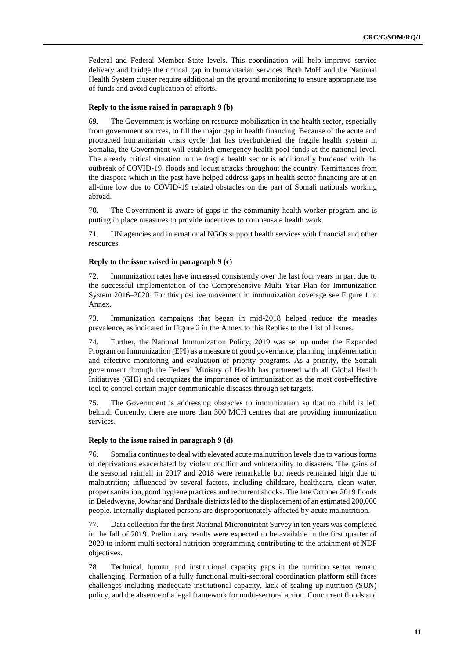Federal and Federal Member State levels. This coordination will help improve service delivery and bridge the critical gap in humanitarian services. Both MoH and the National Health System cluster require additional on the ground monitoring to ensure appropriate use of funds and avoid duplication of efforts.

### **Reply to the issue raised in paragraph 9 (b)**

69. The Government is working on resource mobilization in the health sector, especially from government sources, to fill the major gap in health financing. Because of the acute and protracted humanitarian crisis cycle that has overburdened the fragile health system in Somalia, the Government will establish emergency health pool funds at the national level. The already critical situation in the fragile health sector is additionally burdened with the outbreak of COVID-19, floods and locust attacks throughout the country. Remittances from the diaspora which in the past have helped address gaps in health sector financing are at an all-time low due to COVID-19 related obstacles on the part of Somali nationals working abroad.

70. The Government is aware of gaps in the community health worker program and is putting in place measures to provide incentives to compensate health work.

71. UN agencies and international NGOs support health services with financial and other resources.

## **Reply to the issue raised in paragraph 9 (c)**

72. Immunization rates have increased consistently over the last four years in part due to the successful implementation of the Comprehensive Multi Year Plan for Immunization System 2016–2020. For this positive movement in immunization coverage see Figure 1 in Annex.

73. Immunization campaigns that began in mid-2018 helped reduce the measles prevalence, as indicated in Figure 2 in the Annex to this Replies to the List of Issues.

74. Further, the National Immunization Policy, 2019 was set up under the Expanded Program on Immunization (EPI) as a measure of good governance, planning, implementation and effective monitoring and evaluation of priority programs. As a priority, the Somali government through the Federal Ministry of Health has partnered with all Global Health Initiatives (GHI) and recognizes the importance of immunization as the most cost-effective tool to control certain major communicable diseases through set targets.

75. The Government is addressing obstacles to immunization so that no child is left behind. Currently, there are more than 300 MCH centres that are providing immunization services.

## **Reply to the issue raised in paragraph 9 (d)**

76. Somalia continues to deal with elevated acute malnutrition levels due to various forms of deprivations exacerbated by violent conflict and vulnerability to disasters. The gains of the seasonal rainfall in 2017 and 2018 were remarkable but needs remained high due to malnutrition; influenced by several factors, including childcare, healthcare, clean water, proper sanitation, good hygiene practices and recurrent shocks. The late October 2019 floods in Beledweyne, Jowhar and Bardaale districts led to the displacement of an estimated 200,000 people. Internally displaced persons are disproportionately affected by acute malnutrition.

77. Data collection for the first National Micronutrient Survey in ten years was completed in the fall of 2019. Preliminary results were expected to be available in the first quarter of 2020 to inform multi sectoral nutrition programming contributing to the attainment of NDP objectives.

78. Technical, human, and institutional capacity gaps in the nutrition sector remain challenging. Formation of a fully functional multi-sectoral coordination platform still faces challenges including inadequate institutional capacity, lack of scaling up nutrition (SUN) policy, and the absence of a legal framework for multi-sectoral action. Concurrent floods and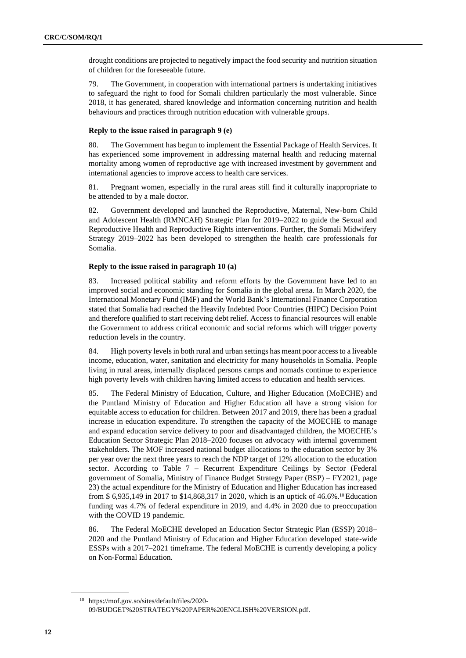drought conditions are projected to negatively impact the food security and nutrition situation of children for the foreseeable future.

79. The Government, in cooperation with international partners is undertaking initiatives to safeguard the right to food for Somali children particularly the most vulnerable. Since 2018, it has generated, shared knowledge and information concerning nutrition and health behaviours and practices through nutrition education with vulnerable groups.

## **Reply to the issue raised in paragraph 9 (e)**

80. The Government has begun to implement the Essential Package of Health Services. It has experienced some improvement in addressing maternal health and reducing maternal mortality among women of reproductive age with increased investment by government and international agencies to improve access to health care services.

81. Pregnant women, especially in the rural areas still find it culturally inappropriate to be attended to by a male doctor.

82. Government developed and launched the Reproductive, Maternal, New-born Child and Adolescent Health (RMNCAH) Strategic Plan for 2019–2022 to guide the Sexual and Reproductive Health and Reproductive Rights interventions. Further, the Somali Midwifery Strategy 2019–2022 has been developed to strengthen the health care professionals for Somalia.

## **Reply to the issue raised in paragraph 10 (a)**

83. Increased political stability and reform efforts by the Government have led to an improved social and economic standing for Somalia in the global arena. In March 2020, the International Monetary Fund (IMF) and the World Bank's International Finance Corporation stated that Somalia had reached the Heavily Indebted Poor Countries (HIPC) Decision Point and therefore qualified to start receiving debt relief. Access to financial resources will enable the Government to address critical economic and social reforms which will trigger poverty reduction levels in the country.

84. High poverty levels in both rural and urban settings has meant poor access to a liveable income, education, water, sanitation and electricity for many households in Somalia. People living in rural areas, internally displaced persons camps and nomads continue to experience high poverty levels with children having limited access to education and health services.

85. The Federal Ministry of Education, Culture, and Higher Education (MoECHE) and the Puntland Ministry of Education and Higher Education all have a strong vision for equitable access to education for children. Between 2017 and 2019, there has been a gradual increase in education expenditure. To strengthen the capacity of the MOECHE to manage and expand education service delivery to poor and disadvantaged children, the MOECHE's Education Sector Strategic Plan 2018–2020 focuses on advocacy with internal government stakeholders. The MOF increased national budget allocations to the education sector by 3% per year over the next three years to reach the NDP target of 12% allocation to the education sector. According to Table 7 – Recurrent Expenditure Ceilings by Sector (Federal government of Somalia, Ministry of Finance Budget Strategy Paper (BSP) – FY2021, page 23) the actual expenditure for the Ministry of Education and Higher Education has increased from \$ 6,935,149 in 2017 to \$14,868,317 in 2020, which is an uptick of 46.6%.<sup>10</sup> Education funding was 4.7% of federal expenditure in 2019, and 4.4% in 2020 due to preoccupation with the COVID 19 pandemic.

86. The Federal MoECHE developed an Education Sector Strategic Plan (ESSP) 2018– 2020 and the Puntland Ministry of Education and Higher Education developed state-wide ESSPs with a 2017–2021 timeframe. The federal MoECHE is currently developing a policy on Non-Formal Education.

<sup>10</sup> https://mof.gov.so/sites/default/files/2020- 09/BUDGET%20STRATEGY%20PAPER%20ENGLISH%20VERSION.pdf.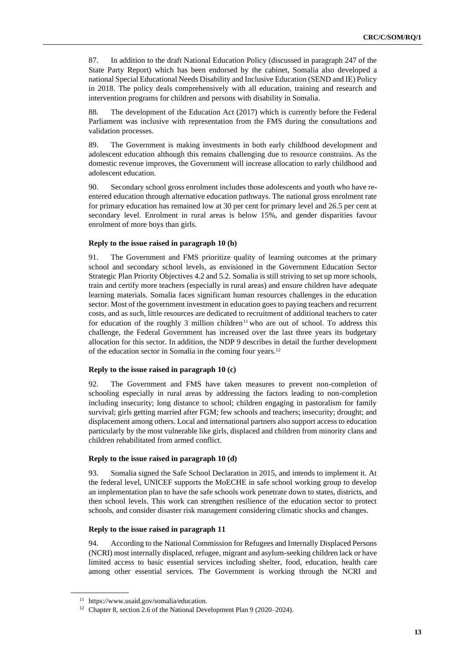87. In addition to the draft National Education Policy (discussed in paragraph 247 of the State Party Report) which has been endorsed by the cabinet, Somalia also developed a national Special Educational Needs Disability and Inclusive Education (SEND and IE) Policy in 2018. The policy deals comprehensively with all education, training and research and intervention programs for children and persons with disability in Somalia.

88. The development of the Education Act (2017) which is currently before the Federal Parliament was inclusive with representation from the FMS during the consultations and validation processes.

89. The Government is making investments in both early childhood development and adolescent education although this remains challenging due to resource constrains. As the domestic revenue improves, the Government will increase allocation to early childhood and adolescent education.

90. Secondary school gross enrolment includes those adolescents and youth who have reentered education through alternative education pathways. The national gross enrolment rate for primary education has remained low at 30 per cent for primary level and 26.5 per cent at secondary level. Enrolment in rural areas is below 15%, and gender disparities favour enrolment of more boys than girls.

## **Reply to the issue raised in paragraph 10 (b)**

91. The Government and FMS prioritize quality of learning outcomes at the primary school and secondary school levels, as envisioned in the Government Education Sector Strategic Plan Priority Objectives 4.2 and 5.2. Somalia is still striving to set up more schools, train and certify more teachers (especially in rural areas) and ensure children have adequate learning materials. Somalia faces significant human resources challenges in the education sector. Most of the government investment in education goes to paying teachers and recurrent costs, and as such, little resources are dedicated to recruitment of additional teachers to cater for education of the roughly 3 million children<sup>11</sup> who are out of school. To address this challenge, the Federal Government has increased over the last three years its budgetary allocation for this sector. In addition, the NDP 9 describes in detail the further development of the education sector in Somalia in the coming four years.<sup>12</sup>

#### **Reply to the issue raised in paragraph 10 (c)**

92. The Government and FMS have taken measures to prevent non-completion of schooling especially in rural areas by addressing the factors leading to non-completion including insecurity; long distance to school; children engaging in pastoralism for family survival; girls getting married after FGM; few schools and teachers; insecurity; drought; and displacement among others. Local and international partners also support access to education particularly by the most vulnerable like girls, displaced and children from minority clans and children rehabilitated from armed conflict.

#### **Reply to the issue raised in paragraph 10 (d)**

93. Somalia signed the Safe School Declaration in 2015, and intends to implement it. At the federal level, UNICEF supports the MoECHE in safe school working group to develop an implementation plan to have the safe schools work penetrate down to states, districts, and then school levels. This work can strengthen resilience of the education sector to protect schools, and consider disaster risk management considering climatic shocks and changes.

#### **Reply to the issue raised in paragraph 11**

94. According to the National Commission for Refugees and Internally Displaced Persons (NCRI) most internally displaced, refugee, migrant and asylum-seeking children lack or have limited access to basic essential services including shelter, food, education, health care among other essential services. The Government is working through the NCRI and

<sup>11</sup> https://www.usaid.gov/somalia/education.

<sup>&</sup>lt;sup>12</sup> Chapter 8, section 2.6 of the National Development Plan 9 (2020–2024).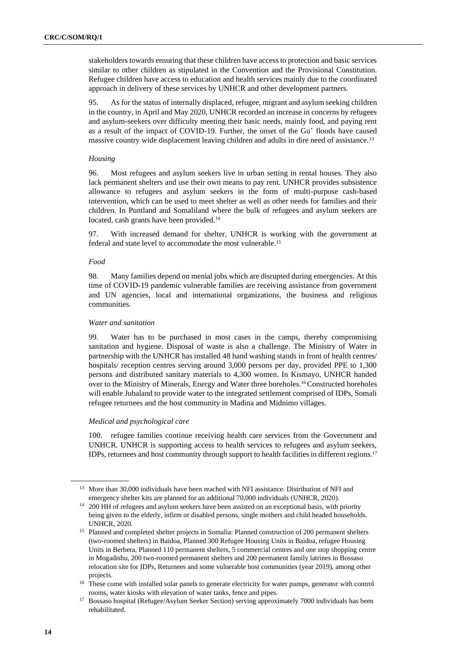stakeholders towards ensuring that these children have access to protection and basic services similar to other children as stipulated in the Convention and the Provisional Constitution. Refugee children have access to education and health services mainly due to the coordinated approach in delivery of these services by UNHCR and other development partners.

95. As for the status of internally displaced, refugee, migrant and asylum seeking children in the country, in April and May 2020, UNHCR recorded an increase in concerns by refugees and asylum-seekers over difficulty meeting their basic needs, mainly food, and paying rent as a result of the impact of COVID-19. Further, the onset of the Gu' floods have caused massive country wide displacement leaving children and adults in dire need of assistance.<sup>13</sup>

## *Housing*

96. Most refugees and asylum seekers live in urban setting in rental houses. They also lack permanent shelters and use their own means to pay rent. UNHCR provides subsistence allowance to refugees and asylum seekers in the form of multi-purpose cash-based intervention, which can be used to meet shelter as well as other needs for families and their children. In Puntland and Somaliland where the bulk of refugees and asylum seekers are located, cash grants have been provided.<sup>14</sup>

97. With increased demand for shelter, UNHCR is working with the government at federal and state level to accommodate the most vulnerable.<sup>15</sup>

# *Food*

98. Many families depend on menial jobs which are disrupted during emergencies. At this time of COVID-19 pandemic vulnerable families are receiving assistance from government and UN agencies, local and international organizations, the business and religious communities.

## *Water and sanitation*

99. Water has to be purchased in most cases in the camps, thereby compromising sanitation and hygiene. Disposal of waste is also a challenge. The Ministry of Water in partnership with the UNHCR has installed 48 hand washing stands in front of health centres/ hospitals/ reception centres serving around 3,000 persons per day, provided PPE to 1,300 persons and distributed sanitary materials to 4,300 women. In Kismayo, UNHCR handed over to the Ministry of Minerals, Energy and Water three boreholes.<sup>16</sup> Constructed boreholes will enable Jubaland to provide water to the integrated settlement comprised of IDPs, Somali refugee returnees and the host community in Madina and Midnimo villages.

## *Medical and psychological care*

100. refugee families continue receiving health care services from the Government and UNHCR. UNHCR is supporting access to health services to refugees and asylum seekers, IDPs, returnees and host community through support to health facilities in different regions.<sup>17</sup>

<sup>&</sup>lt;sup>13</sup> More than 30,000 individuals have been reached with NFI assistance. Distribution of NFI and emergency shelter kits are planned for an additional 70,000 individuals (UNHCR, 2020).

<sup>&</sup>lt;sup>14</sup> 200 HH of refugees and asylum seekers have been assisted on an exceptional basis, with priority being given to the elderly, infirm or disabled persons, single mothers and child headed households. UNHCR, 2020.

<sup>&</sup>lt;sup>15</sup> Planned and completed shelter projects in Somalia: Planned construction of 200 permanent shelters (two-roomed shelters) in Baidoa, Planned 300 Refugee Housing Units in Baidoa, refugee Housing Units in Berbera, Planned 110 permanent shelters, 5 commercial centres and one stop shopping centre in Mogadishu, 200 two-roomed permanent shelters and 200 permanent family latrines in Bossaso relocation site for IDPs, Returnees and some vulnerable host communities (year 2019), among other projects.

<sup>&</sup>lt;sup>16</sup> These come with installed solar panels to generate electricity for water pumps, generator with control rooms, water kiosks with elevation of water tanks, fence and pipes.

<sup>&</sup>lt;sup>17</sup> Bossaso hospital (Refugee/Asylum Seeker Section) serving approximately 7000 individuals has been rehabilitated.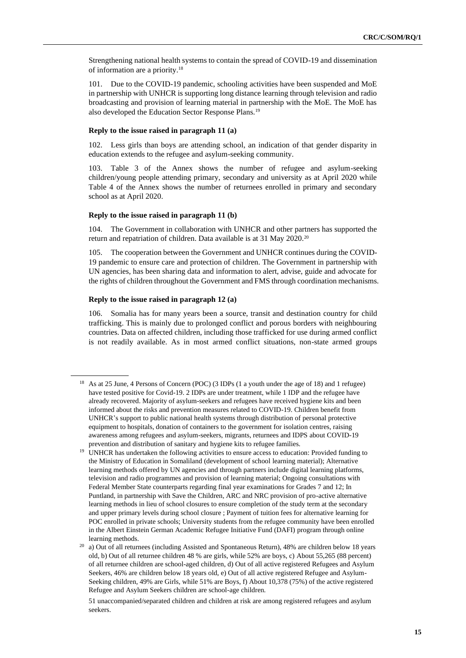Strengthening national health systems to contain the spread of COVID-19 and dissemination of information are a priority.<sup>18</sup>

101. Due to the COVID-19 pandemic, schooling activities have been suspended and MoE in partnership with UNHCR is supporting long distance learning through television and radio broadcasting and provision of learning material in partnership with the MoE. The MoE has also developed the Education Sector Response Plans.<sup>19</sup>

#### **Reply to the issue raised in paragraph 11 (a)**

102. Less girls than boys are attending school, an indication of that gender disparity in education extends to the refugee and asylum-seeking community.

103. Table 3 of the Annex shows the number of refugee and asylum-seeking children/young people attending primary, secondary and university as at April 2020 while Table 4 of the Annex shows the number of returnees enrolled in primary and secondary school as at April 2020.

## **Reply to the issue raised in paragraph 11 (b)**

104. The Government in collaboration with UNHCR and other partners has supported the return and repatriation of children. Data available is at 31 May 2020.<sup>20</sup>

105. The cooperation between the Government and UNHCR continues during the COVID-19 pandemic to ensure care and protection of children. The Government in partnership with UN agencies, has been sharing data and information to alert, advise, guide and advocate for the rights of children throughout the Government and FMS through coordination mechanisms.

## **Reply to the issue raised in paragraph 12 (a)**

106. Somalia has for many years been a source, transit and destination country for child trafficking. This is mainly due to prolonged conflict and porous borders with neighbouring countries. Data on affected children, including those trafficked for use during armed conflict is not readily available. As in most armed conflict situations, non-state armed groups

<sup>19</sup> UNHCR has undertaken the following activities to ensure access to education: Provided funding to the Ministry of Education in Somaliland (development of school learning material); Alternative learning methods offered by UN agencies and through partners include digital learning platforms, television and radio programmes and provision of learning material; Ongoing consultations with Federal Member State counterparts regarding final year examinations for Grades 7 and 12; In Puntland, in partnership with Save the Children, ARC and NRC provision of pro-active alternative learning methods in lieu of school closures to ensure completion of the study term at the secondary and upper primary levels during school closure ; Payment of tuition fees for alternative learning for POC enrolled in private schools; University students from the refugee community have been enrolled in the [Albert Einstein German Academic Refugee Initiative Fund \(DAFI\)](https://www.unhcr.org/protection/operations/40dbee984/albert-einstein-german-academic-refugee-initiative-fund-dafi-frequently.html) program through online learning methods.

<sup>&</sup>lt;sup>18</sup> As at 25 June, 4 Persons of Concern (POC) (3 IDPs (1 a youth under the age of 18) and 1 refugee) have tested positive for Covid-19. 2 IDPs are under treatment, while 1 IDP and the refugee have already recovered. Majority of asylum-seekers and refugees have received hygiene kits and been informed about the risks and prevention measures related to COVID-19. Children benefit from UNHCR's support to public national health systems through distribution of personal protective equipment to hospitals, donation of containers to the government for isolation centres, raising awareness among refugees and asylum-seekers, migrants, returnees and IDPS about COVID-19 prevention and distribution of sanitary and hygiene kits to refugee families.

<sup>20</sup> a) Out of all returnees (including Assisted and Spontaneous Return), 48% are children below 18 years old, b) Out of all returnee children 48 % are girls, while 52% are boys, c) About 55,265 (88 percent) of all returnee children are school-aged children, d) Out of all active registered Refugees and Asylum Seekers, 46% are children below 18 years old, e) Out of all active registered Refugee and Asylum-Seeking children, 49% are Girls, while 51% are Boys, f) About 10,378 (75%) of the active registered Refugee and Asylum Seekers children are school-age children.

<sup>51</sup> unaccompanied/separated children and children at risk are among registered refugees and asylum seekers.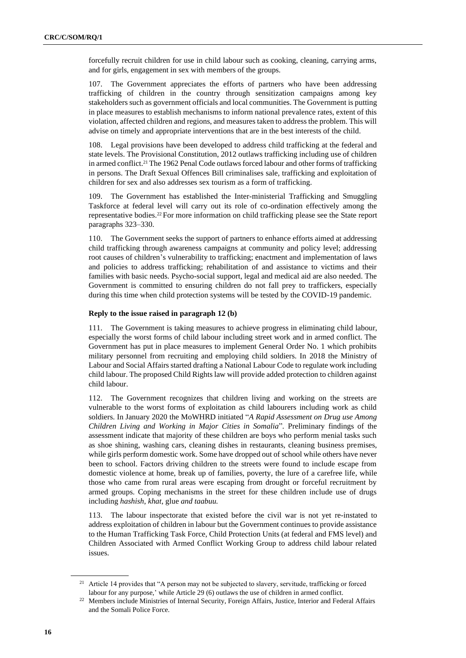forcefully recruit children for use in child labour such as cooking, cleaning, carrying arms, and for girls, engagement in sex with members of the groups.

107. The Government appreciates the efforts of partners who have been addressing trafficking of children in the country through sensitization campaigns among key stakeholders such as government officials and local communities. The Government is putting in place measures to establish mechanisms to inform national prevalence rates, extent of this violation, affected children and regions, and measures taken to address the problem. This will advise on timely and appropriate interventions that are in the best interests of the child.

108. Legal provisions have been developed to address child trafficking at the federal and state levels. The Provisional Constitution, 2012 outlaws trafficking including use of children in armed conflict.<sup>21</sup> The 1962 Penal Code outlaws forced labour and other forms of trafficking in persons. The Draft Sexual Offences Bill criminalises sale, trafficking and exploitation of children for sex and also addresses sex tourism as a form of trafficking.

109. The Government has established the Inter-ministerial Trafficking and Smuggling Taskforce at federal level will carry out its role of co-ordination effectively among the representative bodies.<sup>22</sup> For more information on child trafficking please see the State report paragraphs 323–330.

110. The Government seeks the support of partners to enhance efforts aimed at addressing child trafficking through awareness campaigns at community and policy level; addressing root causes of children's vulnerability to trafficking; enactment and implementation of laws and policies to address trafficking; rehabilitation of and assistance to victims and their families with basic needs. Psycho-social support, legal and medical aid are also needed. The Government is committed to ensuring children do not fall prey to traffickers, especially during this time when child protection systems will be tested by the COVID-19 pandemic.

## **Reply to the issue raised in paragraph 12 (b)**

111. The Government is taking measures to achieve progress in eliminating child labour, especially the worst forms of child labour including street work and in armed conflict. The Government has put in place measures to implement General Order No. 1 which prohibits military personnel from recruiting and employing child soldiers. In 2018 the Ministry of Labour and Social Affairs started drafting a National Labour Code to regulate work including child labour. The proposed Child Rights law will provide added protection to children against child labour.

112. The Government recognizes that children living and working on the streets are vulnerable to the worst forms of exploitation as child labourers including work as child soldiers. In January 2020 the MoWHRD initiated "*A Rapid Assessment on Drug use Among Children Living and Working in Major Cities in Somalia*"*.* Preliminary findings of the assessment indicate that majority of these children are boys who perform menial tasks such as shoe shining, washing cars, cleaning dishes in restaurants, cleaning business premises, while girls perform domestic work. Some have dropped out of school while others have never been to school. Factors driving children to the streets were found to include escape from domestic violence at home, break up of families, poverty, the lure of a carefree life, while those who came from rural areas were escaping from drought or forceful recruitment by armed groups. Coping mechanisms in the street for these children include use of drugs including *hashish*, *khat*, glue *and taabuu.*

113. The labour inspectorate that existed before the civil war is not yet re-instated to address exploitation of children in labour but the Government continues to provide assistance to the Human Trafficking Task Force, Child Protection Units (at federal and FMS level) and Children Associated with Armed Conflict Working Group to address child labour related issues.

<sup>&</sup>lt;sup>21</sup> Article 14 provides that "A person may not be subjected to slavery, servitude, trafficking or forced labour for any purpose,' while Article 29 (6) outlaws the use of children in armed conflict.

<sup>&</sup>lt;sup>22</sup> Members include Ministries of Internal Security, Foreign Affairs, Justice, Interior and Federal Affairs and the Somali Police Force.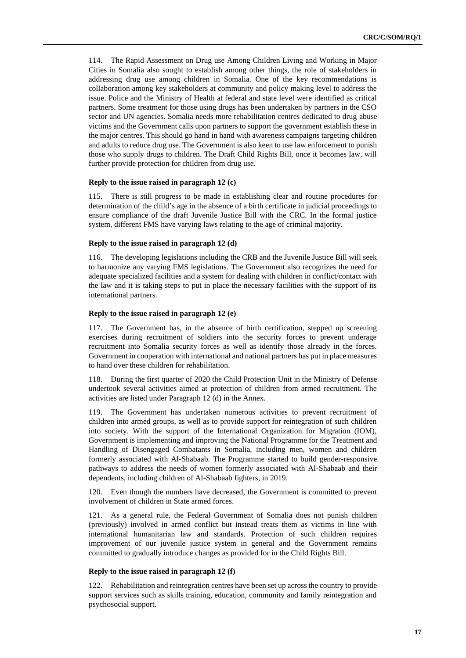114. The Rapid Assessment on Drug use Among Children Living and Working in Major Cities in Somalia also sought to establish among other things, the role of stakeholders in addressing drug use among children in Somalia. One of the key recommendations is collaboration among key stakeholders at community and policy making level to address the issue. Police and the Ministry of Health at federal and state level were identified as critical partners. Some treatment for those using drugs has been undertaken by partners in the CSO sector and UN agencies. Somalia needs more rehabilitation centres dedicated to drug abuse victims and the Government calls upon partners to support the government establish these in the major centres. This should go hand in hand with awareness campaigns targeting children and adults to reduce drug use. The Government is also keen to use law enforcement to punish those who supply drugs to children. The Draft Child Rights Bill, once it becomes law, will further provide protection for children from drug use.

#### **Reply to the issue raised in paragraph 12 (c)**

115. There is still progress to be made in establishing clear and routine procedures for determination of the child's age in the absence of a birth certificate in judicial proceedings to ensure compliance of the draft Juvenile Justice Bill with the CRC. In the formal justice system, different FMS have varying laws relating to the age of criminal majority.

## **Reply to the issue raised in paragraph 12 (d)**

116. The developing legislations including the CRB and the Juvenile Justice Bill will seek to harmonize any varying FMS legislations. The Government also recognizes the need for adequate specialized facilities and a system for dealing with children in conflict/contact with the law and it is taking steps to put in place the necessary facilities with the support of its international partners.

## **Reply to the issue raised in paragraph 12 (e)**

117. The Government has, in the absence of birth certification, stepped up screening exercises during recruitment of soldiers into the security forces to prevent underage recruitment into Somalia security forces as well as identify those already in the forces. Government in cooperation with international and national partners has put in place measures to hand over these children for rehabilitation.

118. During the first quarter of 2020 the Child Protection Unit in the Ministry of Defense undertook several activities aimed at protection of children from armed recruitment. The activities are listed under Paragraph 12 (d) in the Annex.

119. The Government has undertaken numerous activities to prevent recruitment of children into armed groups, as well as to provide support for reintegration of such children into society. With the support of the International Organization for Migration (IOM), Government is implementing and improving the National Programme for the Treatment and Handling of Disengaged Combatants in Somalia, including men, women and children formerly associated with Al-Shabaab. The Programme started to build gender-responsive pathways to address the needs of women formerly associated with Al-Shabaab and their dependents, including children of Al-Shabaab fighters, in 2019.

120. Even though the numbers have decreased, the Government is committed to prevent involvement of children in State armed forces.

121. As a general rule, the Federal Government of Somalia does not punish children (previously) involved in armed conflict but instead treats them as victims in line with international humanitarian law and standards. Protection of such children requires improvement of our juvenile justice system in general and the Government remains committed to gradually introduce changes as provided for in the Child Rights Bill.

#### **Reply to the issue raised in paragraph 12 (f)**

122. Rehabilitation and reintegration centres have been set up across the country to provide support services such as skills training, education, community and family reintegration and psychosocial support.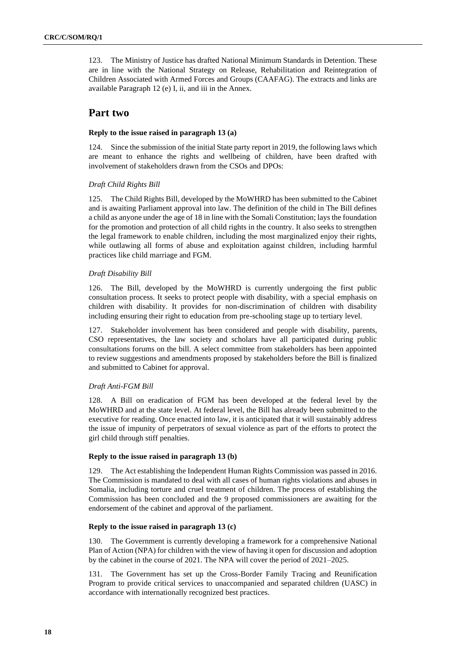123. The Ministry of Justice has drafted National Minimum Standards in Detention. These are in line with the National Strategy on Release, Rehabilitation and Reintegration of Children Associated with Armed Forces and Groups (CAAFAG). The extracts and links are available Paragraph 12 (e) I, ii, and iii in the Annex.

# **Part two**

# **Reply to the issue raised in paragraph 13 (a)**

124. Since the submission of the initial State party report in 2019, the following laws which are meant to enhance the rights and wellbeing of children, have been drafted with involvement of stakeholders drawn from the CSOs and DPOs:

# *Draft Child Rights Bill*

125. The Child Rights Bill, developed by the MoWHRD has been submitted to the Cabinet and is awaiting Parliament approval into law. The definition of the child in The Bill defines a child as anyone under the age of 18 in line with the Somali Constitution; lays the foundation for the promotion and protection of all child rights in the country. It also seeks to strengthen the legal framework to enable children, including the most marginalized enjoy their rights, while outlawing all forms of abuse and exploitation against children, including harmful practices like child marriage and FGM.

# *Draft Disability Bill*

126. The Bill, developed by the MoWHRD is currently undergoing the first public consultation process. It seeks to protect people with disability, with a special emphasis on children with disability. It provides for non-discrimination of children with disability including ensuring their right to education from pre-schooling stage up to tertiary level.

127. Stakeholder involvement has been considered and people with disability, parents, CSO representatives, the law society and scholars have all participated during public consultations forums on the bill. A select committee from stakeholders has been appointed to review suggestions and amendments proposed by stakeholders before the Bill is finalized and submitted to Cabinet for approval.

# *Draft Anti-FGM Bill*

128. A Bill on eradication of FGM has been developed at the federal level by the MoWHRD and at the state level. At federal level, the Bill has already been submitted to the executive for reading. Once enacted into law, it is anticipated that it will sustainably address the issue of impunity of perpetrators of sexual violence as part of the efforts to protect the girl child through stiff penalties.

# **Reply to the issue raised in paragraph 13 (b)**

129. The Act establishing the Independent Human Rights Commission was passed in 2016. The Commission is mandated to deal with all cases of human rights violations and abuses in Somalia, including torture and cruel treatment of children. The process of establishing the Commission has been concluded and the 9 proposed commissioners are awaiting for the endorsement of the cabinet and approval of the parliament.

## **Reply to the issue raised in paragraph 13 (c)**

130. The Government is currently developing a framework for a comprehensive National Plan of Action (NPA) for children with the view of having it open for discussion and adoption by the cabinet in the course of 2021. The NPA will cover the period of 2021–2025.

131. The Government has set up the Cross-Border Family Tracing and Reunification Program to provide critical services to unaccompanied and separated children (UASC) in accordance with internationally recognized best practices.